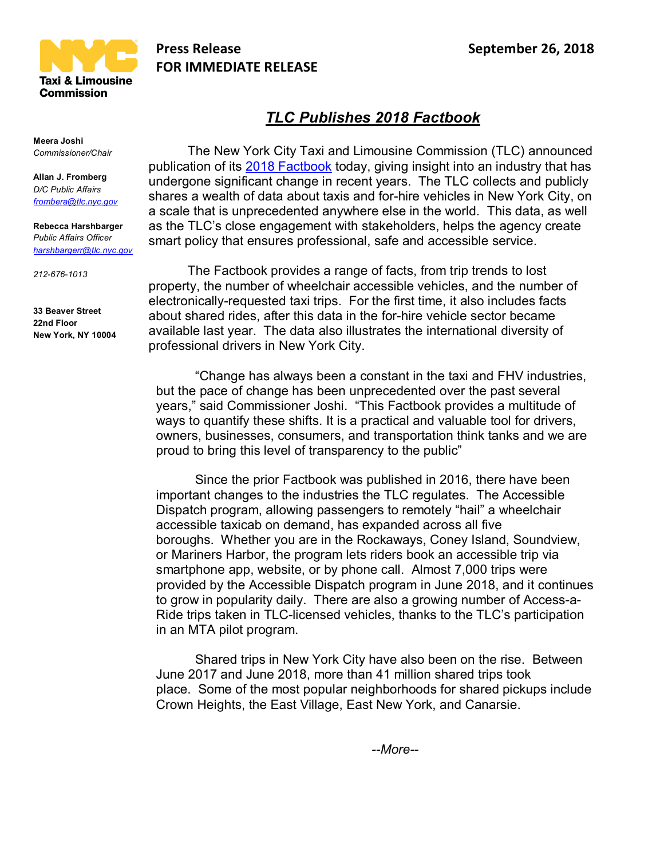

## **Press Release September 26, 2018 FOR IMMEDIATE RELEASE**

## *TLC Publishes 2018 Factbook*

The New York City Taxi and Limousine Commission (TLC) announced publication of its 2018 Factbook today, giving insight into an industry that has undergone significant change in recent years. The TLC collects and publicly shares a wealth of data about taxis and for-hire vehicles in New York City, on a scale that is unprecedented anywhere else in the world. This data, as well as the TLC's close engagement with stakeholders, helps the agency create smart policy that ensures professional, safe and accessible service.

The Factbook provides a range of facts, from trip trends to lost property, the number of wheelchair accessible vehicles, and the number of electronically-requested taxi trips. For the first time, it also includes facts about shared rides, after this data in the for-hire vehicle sector became available last year. The data also illustrates the international diversity of professional drivers in New York City.

"Change has always been a constant in the taxi and FHV industries, but the pace of change has been unprecedented over the past several years," said Commissioner Joshi. "This Factbook provides a multitude of ways to quantify these shifts. It is a practical and valuable tool for drivers, owners, businesses, consumers, and transportation think tanks and we are proud to bring this level of transparency to the public"

Since the prior Factbook was published in 2016, there have been important changes to the industries the TLC regulates. The Accessible Dispatch program, allowing passengers to remotely "hail" a wheelchair accessible taxicab on demand, has expanded across all five boroughs. Whether you are in the Rockaways, Coney Island, Soundview, or Mariners Harbor, the program lets riders book an accessible trip via smartphone app, website, or by phone call. Almost 7,000 trips were provided by the Accessible Dispatch program in June 2018, and it continues to grow in popularity daily. There are also a growing number of Access-a-Ride trips taken in TLC-licensed vehicles, thanks to the TLC's participation in an MTA pilot program.

Shared trips in New York City have also been on the rise. Between June 2017 and June 2018, more than 41 million shared trips took place. Some of the most popular neighborhoods for shared pickups include Crown Heights, the East Village, East New York, and Canarsie.

**Meera Joshi** *Commissioner/Chair*

**Allan J. Fromberg** *D/C Public Affairs frombera@tlc.nyc.gov*

**Rebecca Harshbarger** *Public Affairs Officer harshbargerr@tlc.nyc.gov*

*212-676-1013*

**33 Beaver Street 22nd Floor New York, NY 10004**